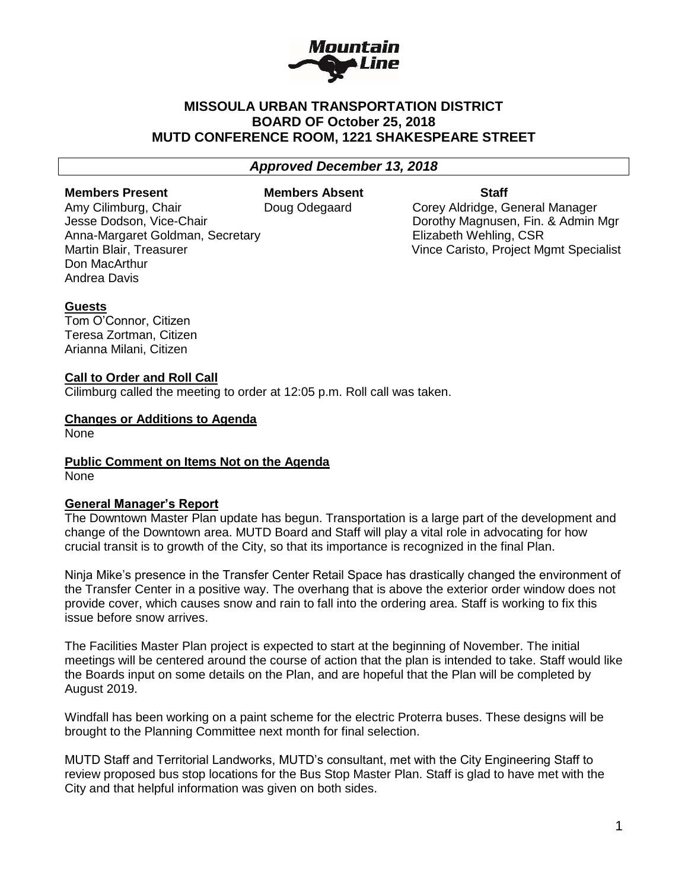

# **MISSOULA URBAN TRANSPORTATION DISTRICT BOARD OF October 25, 2018 MUTD CONFERENCE ROOM, 1221 SHAKESPEARE STREET**

*Approved December 13, 2018*

#### **Members Present Members Absent Staff**

Amy Cilimburg, Chair Doug Odegaard Corey Aldridge, General Manager Jesse Dodson, Vice-Chair **Domestian Contains and Contains Contains Contains Contains Admin Mgr** Dorothy Magnusen, Fin. & Admin Mgr Anna-Margaret Goldman, Secretary **Elizabeth Wehling, CSR** Martin Blair, Treasurer Vince Caristo, Project Mgmt Specialist

# Don MacArthur Andrea Davis

**Guests**

Tom O'Connor, Citizen Teresa Zortman, Citizen Arianna Milani, Citizen

#### **Call to Order and Roll Call**

Cilimburg called the meeting to order at 12:05 p.m. Roll call was taken.

**Changes or Additions to Agenda** None

**Public Comment on Items Not on the Agenda**

None

## **General Manager's Report**

The Downtown Master Plan update has begun. Transportation is a large part of the development and change of the Downtown area. MUTD Board and Staff will play a vital role in advocating for how crucial transit is to growth of the City, so that its importance is recognized in the final Plan.

Ninja Mike's presence in the Transfer Center Retail Space has drastically changed the environment of the Transfer Center in a positive way. The overhang that is above the exterior order window does not provide cover, which causes snow and rain to fall into the ordering area. Staff is working to fix this issue before snow arrives.

The Facilities Master Plan project is expected to start at the beginning of November. The initial meetings will be centered around the course of action that the plan is intended to take. Staff would like the Boards input on some details on the Plan, and are hopeful that the Plan will be completed by August 2019.

Windfall has been working on a paint scheme for the electric Proterra buses. These designs will be brought to the Planning Committee next month for final selection.

MUTD Staff and Territorial Landworks, MUTD's consultant, met with the City Engineering Staff to review proposed bus stop locations for the Bus Stop Master Plan. Staff is glad to have met with the City and that helpful information was given on both sides.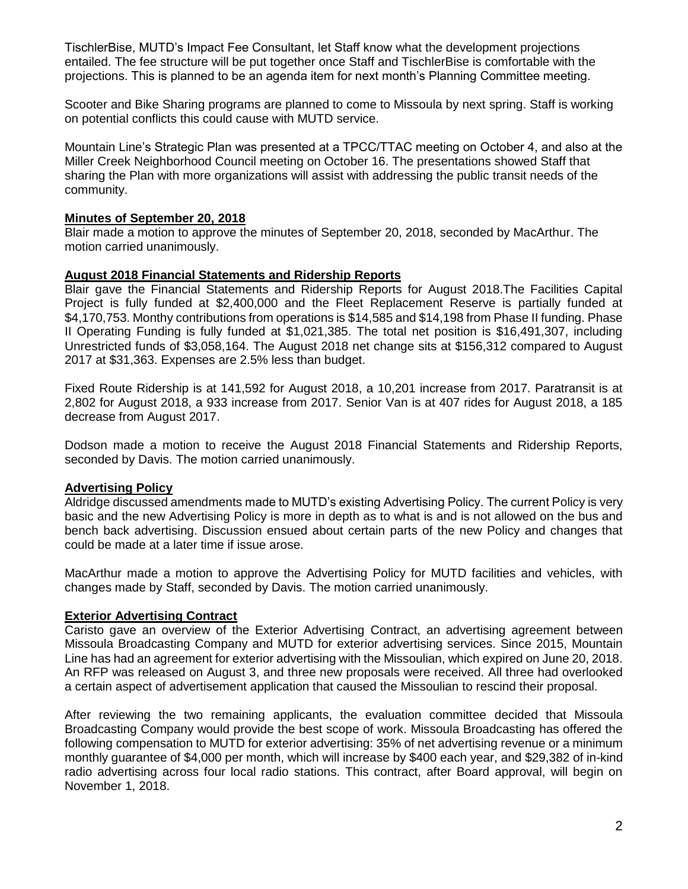TischlerBise, MUTD's Impact Fee Consultant, let Staff know what the development projections entailed. The fee structure will be put together once Staff and TischlerBise is comfortable with the projections. This is planned to be an agenda item for next month's Planning Committee meeting.

Scooter and Bike Sharing programs are planned to come to Missoula by next spring. Staff is working on potential conflicts this could cause with MUTD service.

Mountain Line's Strategic Plan was presented at a TPCC/TTAC meeting on October 4, and also at the Miller Creek Neighborhood Council meeting on October 16. The presentations showed Staff that sharing the Plan with more organizations will assist with addressing the public transit needs of the community.

#### **Minutes of September 20, 2018**

Blair made a motion to approve the minutes of September 20, 2018, seconded by MacArthur. The motion carried unanimously.

#### **August 2018 Financial Statements and Ridership Reports**

Blair gave the Financial Statements and Ridership Reports for August 2018.The Facilities Capital Project is fully funded at \$2,400,000 and the Fleet Replacement Reserve is partially funded at \$4,170,753. Monthy contributions from operations is \$14,585 and \$14,198 from Phase II funding. Phase II Operating Funding is fully funded at \$1,021,385. The total net position is \$16,491,307, including Unrestricted funds of \$3,058,164. The August 2018 net change sits at \$156,312 compared to August 2017 at \$31,363. Expenses are 2.5% less than budget.

Fixed Route Ridership is at 141,592 for August 2018, a 10,201 increase from 2017. Paratransit is at 2,802 for August 2018, a 933 increase from 2017. Senior Van is at 407 rides for August 2018, a 185 decrease from August 2017.

Dodson made a motion to receive the August 2018 Financial Statements and Ridership Reports, seconded by Davis. The motion carried unanimously.

## **Advertising Policy**

Aldridge discussed amendments made to MUTD's existing Advertising Policy. The current Policy is very basic and the new Advertising Policy is more in depth as to what is and is not allowed on the bus and bench back advertising. Discussion ensued about certain parts of the new Policy and changes that could be made at a later time if issue arose.

MacArthur made a motion to approve the Advertising Policy for MUTD facilities and vehicles, with changes made by Staff, seconded by Davis. The motion carried unanimously.

## **Exterior Advertising Contract**

Caristo gave an overview of the Exterior Advertising Contract, an advertising agreement between Missoula Broadcasting Company and MUTD for exterior advertising services. Since 2015, Mountain Line has had an agreement for exterior advertising with the Missoulian, which expired on June 20, 2018. An RFP was released on August 3, and three new proposals were received. All three had overlooked a certain aspect of advertisement application that caused the Missoulian to rescind their proposal.

After reviewing the two remaining applicants, the evaluation committee decided that Missoula Broadcasting Company would provide the best scope of work. Missoula Broadcasting has offered the following compensation to MUTD for exterior advertising: 35% of net advertising revenue or a minimum monthly guarantee of \$4,000 per month, which will increase by \$400 each year, and \$29,382 of in-kind radio advertising across four local radio stations. This contract, after Board approval, will begin on November 1, 2018.